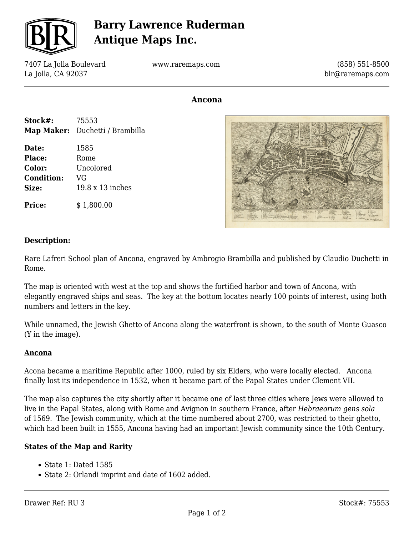

## **Barry Lawrence Ruderman Antique Maps Inc.**

7407 La Jolla Boulevard La Jolla, CA 92037

www.raremaps.com

(858) 551-8500 blr@raremaps.com

### **Ancona**

| Stock#: | 75553                                  |
|---------|----------------------------------------|
|         | <b>Map Maker:</b> Duchetti / Brambilla |

**Date:** 1585 Place: Rome **Color:** Uncolored **Condition:** VG **Size:** 19.8 x 13 inches

**Price:** \$1,800.00



#### **Description:**

Rare Lafreri School plan of Ancona, engraved by Ambrogio Brambilla and published by Claudio Duchetti in Rome.

The map is oriented with west at the top and shows the fortified harbor and town of Ancona, with elegantly engraved ships and seas. The key at the bottom locates nearly 100 points of interest, using both numbers and letters in the key.

While unnamed, the Jewish Ghetto of Ancona along the waterfront is shown, to the south of Monte Guasco (Y in the image).

#### **Ancona**

Acona became a maritime Republic after 1000, ruled by six Elders, who were locally elected. Ancona finally lost its independence in 1532, when it became part of the Papal States under Clement VII.

The map also captures the city shortly after it became one of last three cities where Jews were allowed to live in the Papal States, along with Rome and Avignon in southern France, after *Hebraeorum gens sola* of 1569. The Jewish community, which at the time numbered about 2700, was restricted to their ghetto, which had been built in 1555, Ancona having had an important Jewish community since the 10th Century.

#### **States of the Map and Rarity**

- State 1: Dated 1585
- State 2: Orlandi imprint and date of 1602 added.